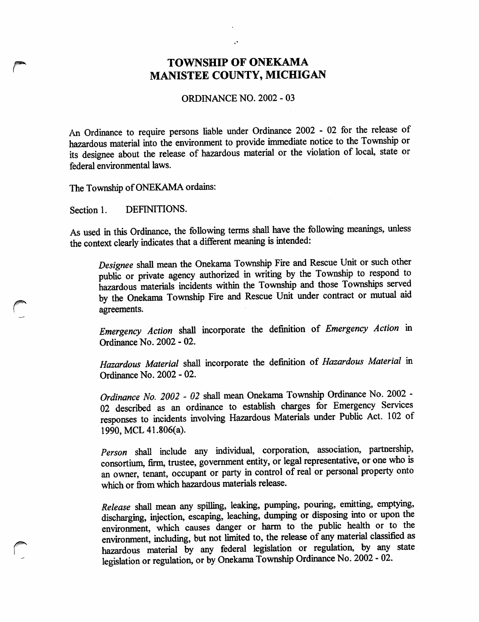## TOWNSHIP OF ONEKAMA MANISTEE COUNTY, MICHIGAN

**ORDINANCE NO. 2002 - 03** 

An Ordinance to require persons liable under Ordinance 2002 - 02 for the release of hazardous material into the environment to provide immediate notice to the Township or its designee about the release of hazardous material or the violation of local, state or federal environmental laws.

The Township of ONEKAMA ordains:

Section 1. DEFINITIONS.

As used in this Ordinance, the following terms shall have the following meanings, unless the context clearly indicates that a different meaning is intended:

Designee shall mean the Onekama Township Fire and Rescue Unit or such other public or private agency authorized in writing by the Township to respond to hazardous materials incidents within the Township and those Townships served by the Onekama Township Fire and Rescue Unit under contract or mutual aid agreements.

Emergency Action shall incorporate the definition of Emergency Action in Ordinance No.  $2002 - 02$ .

Hazardous Material shall incorporate the definition of Hazardous Material in Ordinance No. 2002-02.

Ordinance No. 2002 - 02 shall mean Onekama Township Ordinance No. 2002 -02 described as an ordinance to establish charges for Emergency Services responses to incidents involving Hazardous Materials under Public Act. 102 of 1990, MCL 41.806(a).

Person shall include any individual, corporation, association, partnership, consortium, firm, trustee, government entity, or legal representative, or one who is an owner, tenant, occupant or party in control of real or personal property onto which or from which hazardous materials release.

Release shall mean any spilling, leaking, pumping, pouring, emitting, emptying, discharging, injection, escaping, leaching, dumping or disposing into or upon the environment, which causes danger or harm to the public health or to the environment, including, but not limited to, the release of any material classified as hazardous material by any federal legislation or regulation, by any state legislation or regulation, or by Onekama Township Ordinance No. 2002 - 02.